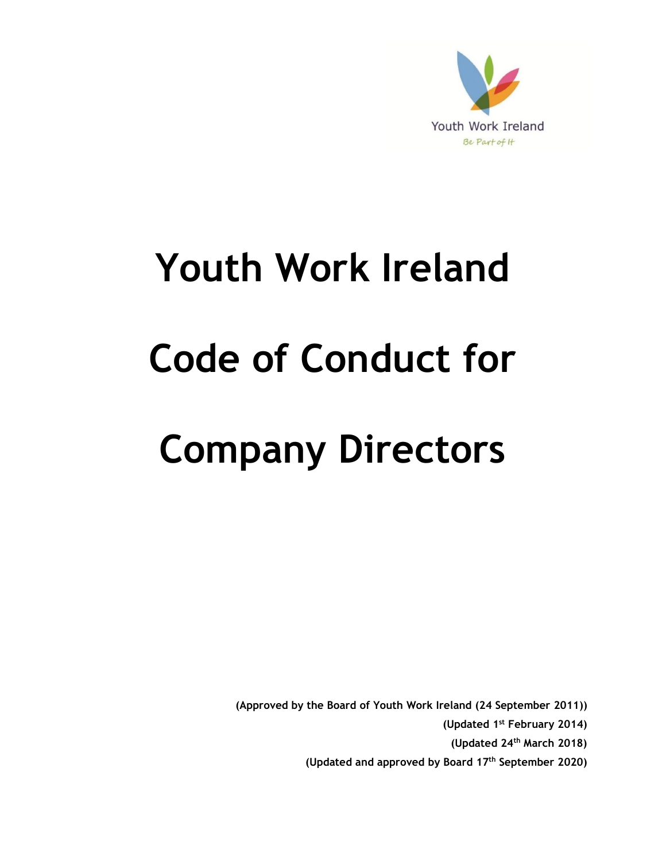

# **Youth Work Ireland Code of Conduct for Company Directors**

**(Approved by the Board of Youth Work Ireland (24 September 2011))**

**(Updated 1st February 2014)**

**(Updated 24th March 2018)**

**(Updated and approved by Board 17th September 2020)**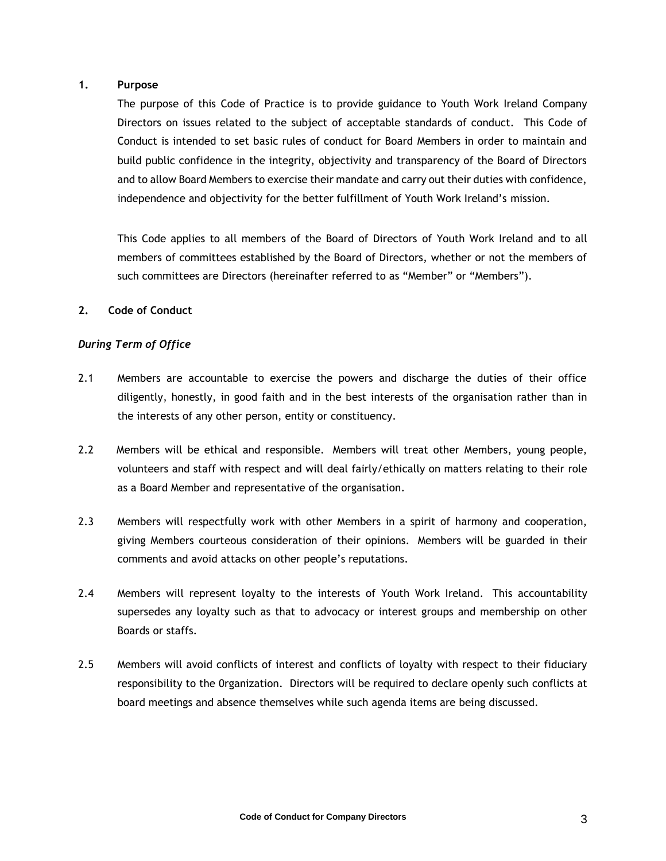## **1. Purpose**

The purpose of this Code of Practice is to provide guidance to Youth Work Ireland Company Directors on issues related to the subject of acceptable standards of conduct. This Code of Conduct is intended to set basic rules of conduct for Board Members in order to maintain and build public confidence in the integrity, objectivity and transparency of the Board of Directors and to allow Board Members to exercise their mandate and carry out their duties with confidence, independence and objectivity for the better fulfillment of Youth Work Ireland's mission.

This Code applies to all members of the Board of Directors of Youth Work Ireland and to all members of committees established by the Board of Directors, whether or not the members of such committees are Directors (hereinafter referred to as "Member" or "Members").

#### **2. Code of Conduct**

# *During Term of Office*

- 2.1 Members are accountable to exercise the powers and discharge the duties of their office diligently, honestly, in good faith and in the best interests of the organisation rather than in the interests of any other person, entity or constituency.
- 2.2 Members will be ethical and responsible. Members will treat other Members, young people, volunteers and staff with respect and will deal fairly/ethically on matters relating to their role as a Board Member and representative of the organisation.
- 2.3 Members will respectfully work with other Members in a spirit of harmony and cooperation, giving Members courteous consideration of their opinions. Members will be guarded in their comments and avoid attacks on other people's reputations.
- 2.4 Members will represent loyalty to the interests of Youth Work Ireland. This accountability supersedes any loyalty such as that to advocacy or interest groups and membership on other Boards or staffs.
- 2.5 Members will avoid conflicts of interest and conflicts of loyalty with respect to their fiduciary responsibility to the 0rganization. Directors will be required to declare openly such conflicts at board meetings and absence themselves while such agenda items are being discussed.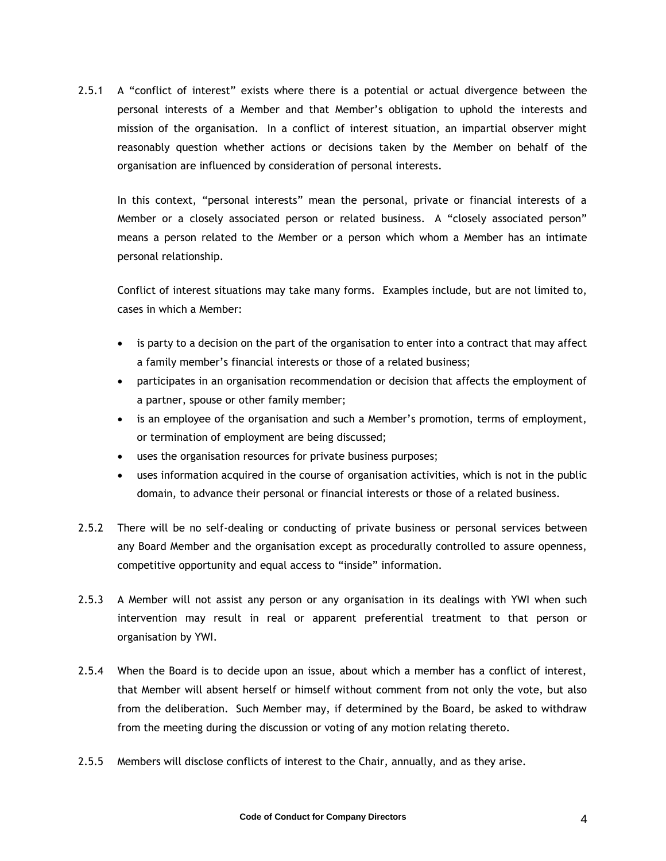2.5.1 A "conflict of interest" exists where there is a potential or actual divergence between the personal interests of a Member and that Member's obligation to uphold the interests and mission of the organisation. In a conflict of interest situation, an impartial observer might reasonably question whether actions or decisions taken by the Member on behalf of the organisation are influenced by consideration of personal interests.

In this context, "personal interests" mean the personal, private or financial interests of a Member or a closely associated person or related business. A "closely associated person" means a person related to the Member or a person which whom a Member has an intimate personal relationship.

Conflict of interest situations may take many forms. Examples include, but are not limited to, cases in which a Member:

- is party to a decision on the part of the organisation to enter into a contract that may affect a family member's financial interests or those of a related business;
- participates in an organisation recommendation or decision that affects the employment of a partner, spouse or other family member;
- is an employee of the organisation and such a Member's promotion, terms of employment, or termination of employment are being discussed;
- uses the organisation resources for private business purposes;
- uses information acquired in the course of organisation activities, which is not in the public domain, to advance their personal or financial interests or those of a related business.
- 2.5.2 There will be no self-dealing or conducting of private business or personal services between any Board Member and the organisation except as procedurally controlled to assure openness, competitive opportunity and equal access to "inside" information.
- 2.5.3 A Member will not assist any person or any organisation in its dealings with YWI when such intervention may result in real or apparent preferential treatment to that person or organisation by YWI.
- 2.5.4 When the Board is to decide upon an issue, about which a member has a conflict of interest, that Member will absent herself or himself without comment from not only the vote, but also from the deliberation. Such Member may, if determined by the Board, be asked to withdraw from the meeting during the discussion or voting of any motion relating thereto.
- 2.5.5 Members will disclose conflicts of interest to the Chair, annually, and as they arise.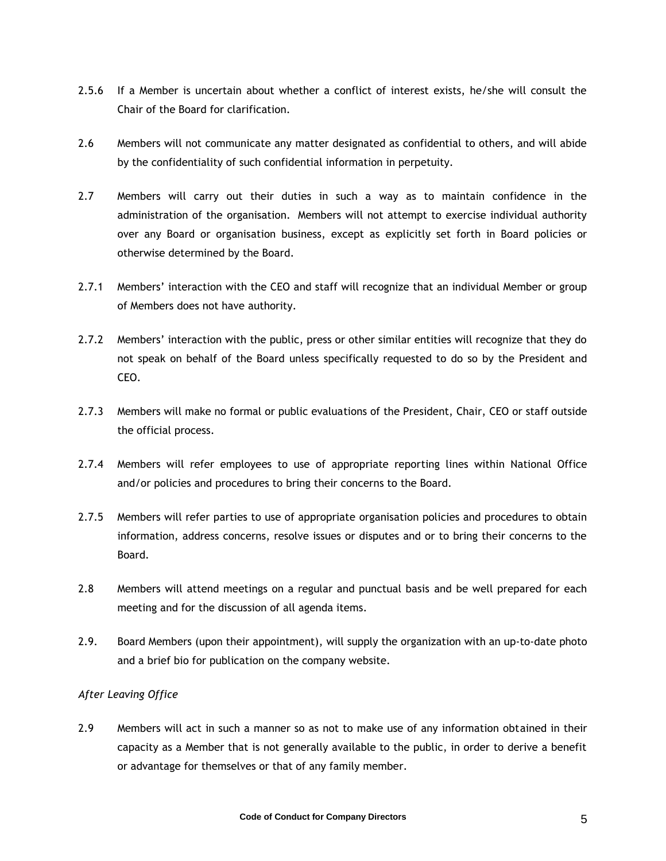- 2.5.6 If a Member is uncertain about whether a conflict of interest exists, he/she will consult the Chair of the Board for clarification.
- 2.6 Members will not communicate any matter designated as confidential to others, and will abide by the confidentiality of such confidential information in perpetuity.
- 2.7 Members will carry out their duties in such a way as to maintain confidence in the administration of the organisation. Members will not attempt to exercise individual authority over any Board or organisation business, except as explicitly set forth in Board policies or otherwise determined by the Board.
- 2.7.1 Members' interaction with the CEO and staff will recognize that an individual Member or group of Members does not have authority.
- 2.7.2 Members' interaction with the public, press or other similar entities will recognize that they do not speak on behalf of the Board unless specifically requested to do so by the President and CEO.
- 2.7.3 Members will make no formal or public evaluations of the President, Chair, CEO or staff outside the official process.
- 2.7.4 Members will refer employees to use of appropriate reporting lines within National Office and/or policies and procedures to bring their concerns to the Board.
- 2.7.5 Members will refer parties to use of appropriate organisation policies and procedures to obtain information, address concerns, resolve issues or disputes and or to bring their concerns to the Board.
- 2.8 Members will attend meetings on a regular and punctual basis and be well prepared for each meeting and for the discussion of all agenda items.
- 2.9. Board Members (upon their appointment), will supply the organization with an up-to-date photo and a brief bio for publication on the company website.

# *After Leaving Office*

2.9 Members will act in such a manner so as not to make use of any information obtained in their capacity as a Member that is not generally available to the public, in order to derive a benefit or advantage for themselves or that of any family member.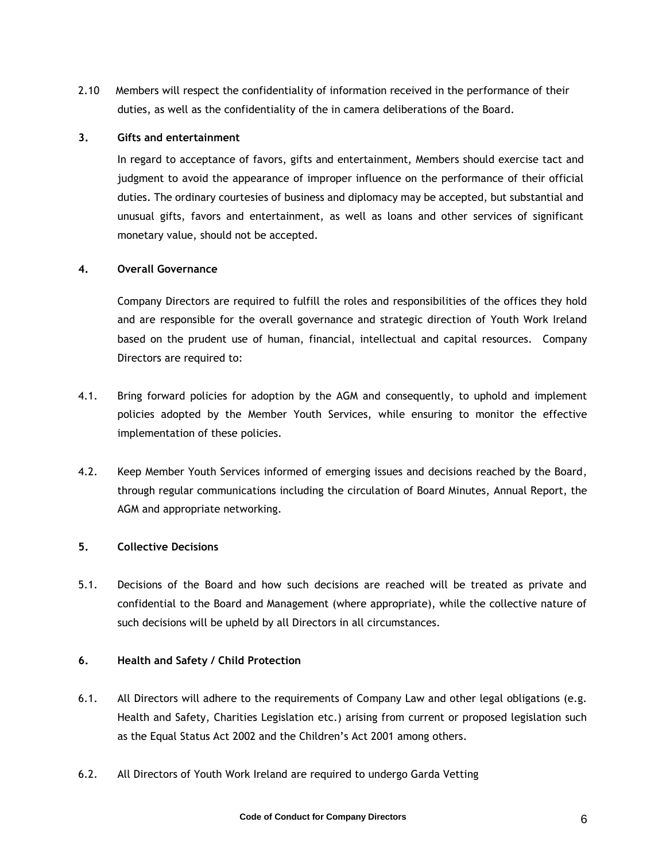2.10 Members will respect the confidentiality of information received in the performance of their duties, as well as the confidentiality of the in camera deliberations of the Board.

## **3. Gifts and entertainment**

In regard to acceptance of favors, gifts and entertainment, Members should exercise tact and judgment to avoid the appearance of improper influence on the performance of their official duties. The ordinary courtesies of business and diplomacy may be accepted, but substantial and unusual gifts, favors and entertainment, as well as loans and other services of significant monetary value, should not be accepted.

#### **4. Overall Governance**

Company Directors are required to fulfill the roles and responsibilities of the offices they hold and are responsible for the overall governance and strategic direction of Youth Work Ireland based on the prudent use of human, financial, intellectual and capital resources. Company Directors are required to:

- 4.1. Bring forward policies for adoption by the AGM and consequently, to uphold and implement policies adopted by the Member Youth Services, while ensuring to monitor the effective implementation of these policies.
- 4.2. Keep Member Youth Services informed of emerging issues and decisions reached by the Board, through regular communications including the circulation of Board Minutes, Annual Report, the AGM and appropriate networking.

# **5. Collective Decisions**

5.1. Decisions of the Board and how such decisions are reached will be treated as private and confidential to the Board and Management (where appropriate), while the collective nature of such decisions will be upheld by all Directors in all circumstances.

# **6. Health and Safety / Child Protection**

- 6.1. All Directors will adhere to the requirements of Company Law and other legal obligations (e.g. Health and Safety, Charities Legislation etc.) arising from current or proposed legislation such as the Equal Status Act 2002 and the Children's Act 2001 among others.
- 6.2. All Directors of Youth Work Ireland are required to undergo Garda Vetting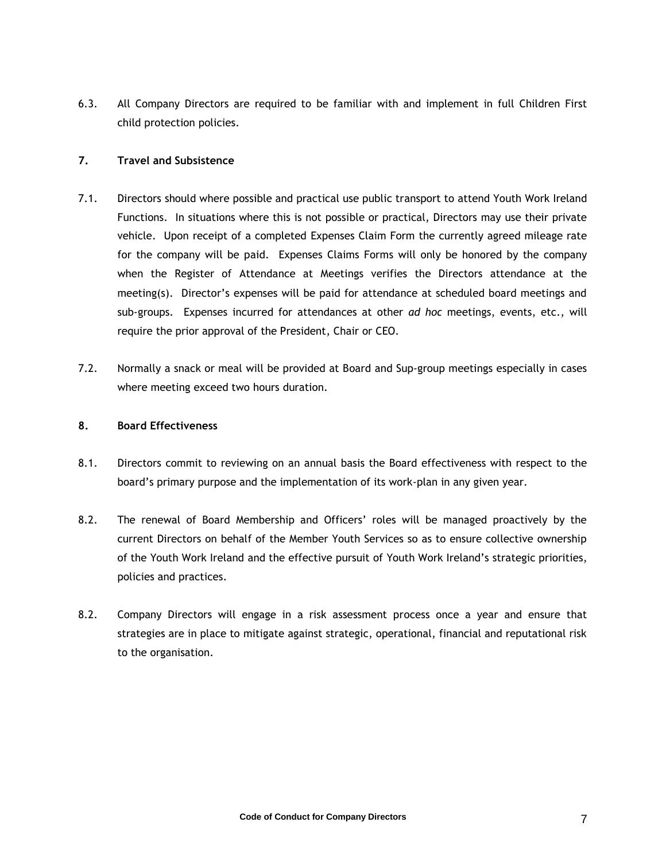6.3. All Company Directors are required to be familiar with and implement in full Children First child protection policies.

## **7. Travel and Subsistence**

- 7.1. Directors should where possible and practical use public transport to attend Youth Work Ireland Functions. In situations where this is not possible or practical, Directors may use their private vehicle. Upon receipt of a completed Expenses Claim Form the currently agreed mileage rate for the company will be paid. Expenses Claims Forms will only be honored by the company when the Register of Attendance at Meetings verifies the Directors attendance at the meeting(s). Director's expenses will be paid for attendance at scheduled board meetings and sub-groups. Expenses incurred for attendances at other *ad hoc* meetings, events, etc., will require the prior approval of the President, Chair or CEO.
- 7.2. Normally a snack or meal will be provided at Board and Sup-group meetings especially in cases where meeting exceed two hours duration.

#### **8. Board Effectiveness**

- 8.1. Directors commit to reviewing on an annual basis the Board effectiveness with respect to the board's primary purpose and the implementation of its work-plan in any given year.
- 8.2. The renewal of Board Membership and Officers' roles will be managed proactively by the current Directors on behalf of the Member Youth Services so as to ensure collective ownership of the Youth Work Ireland and the effective pursuit of Youth Work Ireland's strategic priorities, policies and practices.
- 8.2. Company Directors will engage in a risk assessment process once a year and ensure that strategies are in place to mitigate against strategic, operational, financial and reputational risk to the organisation.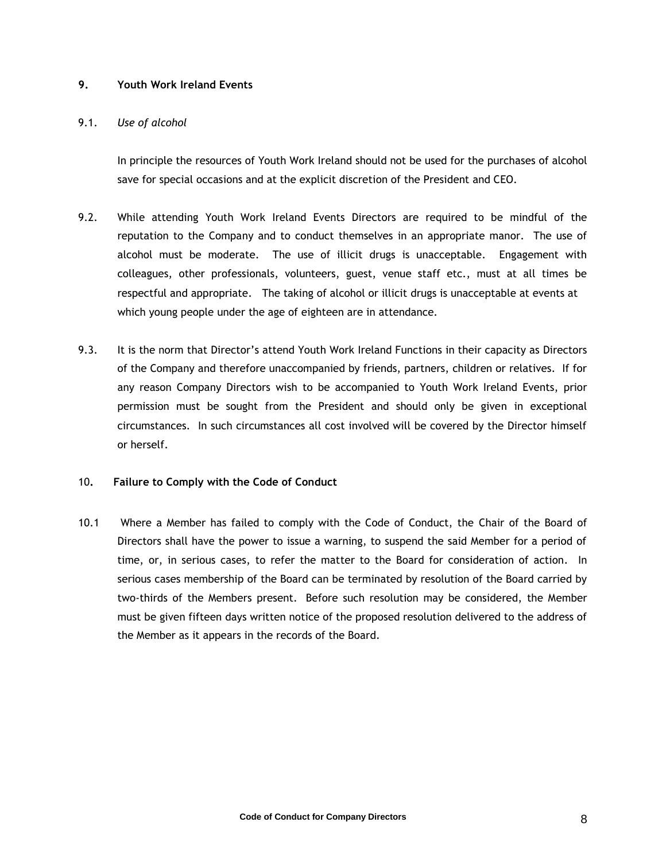## **9. Youth Work Ireland Events**

#### 9.1. *Use of alcohol*

In principle the resources of Youth Work Ireland should not be used for the purchases of alcohol save for special occasions and at the explicit discretion of the President and CEO.

- 9.2. While attending Youth Work Ireland Events Directors are required to be mindful of the reputation to the Company and to conduct themselves in an appropriate manor. The use of alcohol must be moderate. The use of illicit drugs is unacceptable. Engagement with colleagues, other professionals, volunteers, guest, venue staff etc., must at all times be respectful and appropriate. The taking of alcohol or illicit drugs is unacceptable at events at which young people under the age of eighteen are in attendance.
- 9.3. It is the norm that Director's attend Youth Work Ireland Functions in their capacity as Directors of the Company and therefore unaccompanied by friends, partners, children or relatives. If for any reason Company Directors wish to be accompanied to Youth Work Ireland Events, prior permission must be sought from the President and should only be given in exceptional circumstances. In such circumstances all cost involved will be covered by the Director himself or herself.

# 10**. Failure to Comply with the Code of Conduct**

10.1 Where a Member has failed to comply with the Code of Conduct, the Chair of the Board of Directors shall have the power to issue a warning, to suspend the said Member for a period of time, or, in serious cases, to refer the matter to the Board for consideration of action. In serious cases membership of the Board can be terminated by resolution of the Board carried by two-thirds of the Members present. Before such resolution may be considered, the Member must be given fifteen days written notice of the proposed resolution delivered to the address of the Member as it appears in the records of the Board.